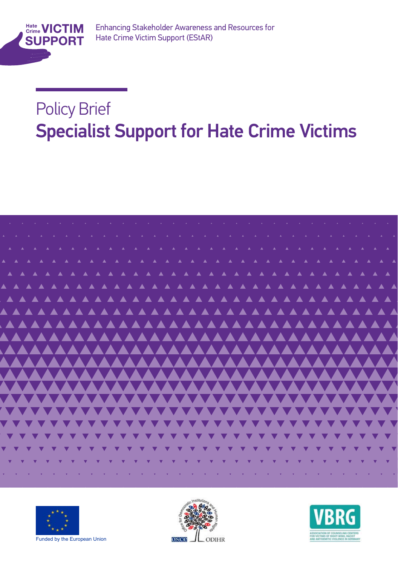

Enhancing Stakeholder Awareness and Resources for Enhancing Stakeholder Awareness and Resources for Hate Crime Victim Support (EStAR)

### Policy Brief Support For Support For Support For Support For Support For Support For Support For Support For Support For Support For Support For Support For Support For Support For Support For Support For Support For Suppo **Specialist Support for Hate Crime Victims**







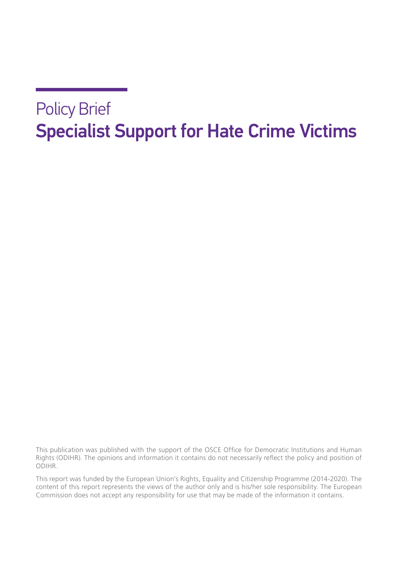#### Policy Brief Specialist Support for Hate Crime Victims

This publication was published with the support of the OSCE Office for Democratic Institutions and Human Rights (ODIHR). The opinions and information it contains do not necessarily reflect the policy and position of ODIHR.

This report was funded by the European Union's Rights, Equality and Citizenship Programme (2014-2020). The content of this report represents the views of the author only and is his/her sole responsibility. The European Commission does not accept any responsibility for use that may be made of the information it contains.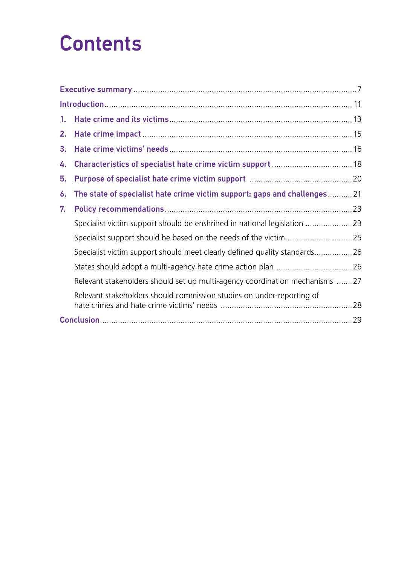### **Contents**

| 1. |                                                                             |  |
|----|-----------------------------------------------------------------------------|--|
| 2. |                                                                             |  |
| 3. |                                                                             |  |
| 4. |                                                                             |  |
| 5. |                                                                             |  |
| 6. | The state of specialist hate crime victim support: gaps and challenges21    |  |
| 7. |                                                                             |  |
|    | Specialist victim support should be enshrined in national legislation 23    |  |
|    |                                                                             |  |
|    | Specialist victim support should meet clearly defined quality standards26   |  |
|    |                                                                             |  |
|    | Relevant stakeholders should set up multi-agency coordination mechanisms 27 |  |
|    | Relevant stakeholders should commission studies on under-reporting of       |  |
|    |                                                                             |  |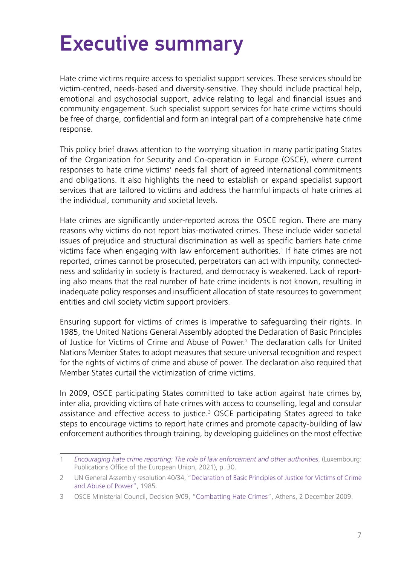### <span id="page-6-0"></span>Executive summary

Hate crime victims require access to specialist support services. These services should be victim-centred, needs-based and diversity-sensitive. They should include practical help, emotional and psychosocial support, advice relating to legal and financial issues and community engagement. Such specialist support services for hate crime victims should be free of charge, confidential and form an integral part of a comprehensive hate crime response.

This policy brief draws attention to the worrying situation in many participating States of the Organization for Security and Co-operation in Europe (OSCE), where current responses to hate crime victims' needs fall short of agreed international commitments and obligations. It also highlights the need to establish or expand specialist support services that are tailored to victims and address the harmful impacts of hate crimes at the individual, community and societal levels.

Hate crimes are significantly under-reported across the OSCE region. There are many reasons why victims do not report bias-motivated crimes. These include wider societal issues of prejudice and structural discrimination as well as specific barriers hate crime victims face when engaging with law enforcement authorities.<sup>1</sup> If hate crimes are not reported, crimes cannot be prosecuted, perpetrators can act with impunity, connectedness and solidarity in society is fractured, and democracy is weakened. Lack of reporting also means that the real number of hate crime incidents is not known, resulting in inadequate policy responses and insufficient allocation of state resources to government entities and civil society victim support providers.

Ensuring support for victims of crimes is imperative to safeguarding their rights. In 1985, the United Nations General Assembly adopted the Declaration of Basic Principles of Justice for Victims of Crime and Abuse of Power.<sup>2</sup> The declaration calls for United Nations Member States to adopt measures that secure universal recognition and respect for the rights of victims of crime and abuse of power. The declaration also required that Member States curtail the victimization of crime victims.

In 2009, OSCE participating States committed to take action against hate crimes by, inter alia, providing victims of hate crimes with access to counselling, legal and consular assistance and effective access to justice.3 OSCE participating States agreed to take steps to encourage victims to report hate crimes and promote capacity-building of law enforcement authorities through training, by developing guidelines on the most effective

<sup>1</sup> *[Encouraging hate crime reporting: The role of law enforcement and other authorities](https://fra.europa.eu/sites/default/files/fra_uploads/fra-2021-hate-crime-reporting_en.pdf)*, (Luxembourg: Publications Office of the European Union, 2021), p. 30.

<sup>2</sup> UN General Assembly resolution 40/34, "[Declaration of Basic Principles of Justice for Victims of Crime](https://www.un.org/en/genocideprevention/documents/atrocity-crimes/Doc.29_declaration%20victims%20crime%20and%20abuse%20of%20power.pdf) [and Abuse of Power](https://www.un.org/en/genocideprevention/documents/atrocity-crimes/Doc.29_declaration%20victims%20crime%20and%20abuse%20of%20power.pdf)", 1985.

<sup>3</sup> OSCE Ministerial Council, Decision 9/09, "[Combatting Hate Crimes"](https://www.osce.org/files/f/documents/d/9/40695.pdf), Athens, 2 December 2009.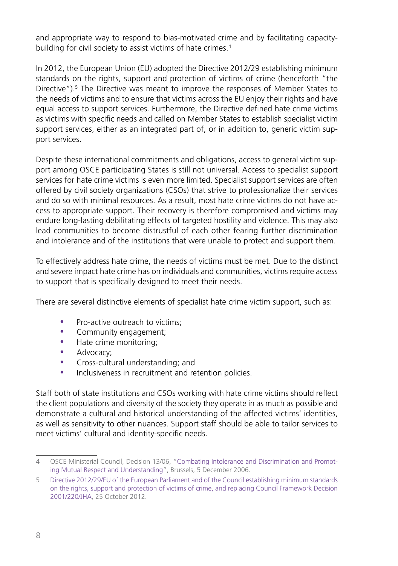and appropriate way to respond to bias-motivated crime and by facilitating capacitybuilding for civil society to assist victims of hate crimes.<sup>4</sup>

In 2012, the European Union (EU) adopted the Directive 2012/29 establishing minimum standards on the rights, support and protection of victims of crime (henceforth "the Directive").5 The Directive was meant to improve the responses of Member States to the needs of victims and to ensure that victims across the EU enjoy their rights and have equal access to support services. Furthermore, the Directive defined hate crime victims as victims with specific needs and called on Member States to establish specialist victim support services, either as an integrated part of, or in addition to, generic victim support services.

Despite these international commitments and obligations, access to general victim support among OSCE participating States is still not universal. Access to specialist support services for hate crime victims is even more limited. Specialist support services are often offered by civil society organizations (CSOs) that strive to professionalize their services and do so with minimal resources. As a result, most hate crime victims do not have access to appropriate support. Their recovery is therefore compromised and victims may endure long-lasting debilitating effects of targeted hostility and violence. This may also lead communities to become distrustful of each other fearing further discrimination and intolerance and of the institutions that were unable to protect and support them.

To effectively address hate crime, the needs of victims must be met. Due to the distinct and severe impact hate crime has on individuals and communities, victims require access to support that is specifically designed to meet their needs.

There are several distinctive elements of specialist hate crime victim support, such as:

- Pro-active outreach to victims:
- Community engagement;
- Hate crime monitoring;
- Advocacy;
- Cross-cultural understanding; and
- Inclusiveness in recruitment and retention policies.

Staff both of state institutions and CSOs working with hate crime victims should reflect the client populations and diversity of the society they operate in as much as possible and demonstrate a cultural and historical understanding of the affected victims' identities, as well as sensitivity to other nuances. Support staff should be able to tailor services to meet victims' cultural and identity-specific needs.

<sup>4</sup> OSCE Ministerial Council, Decision 13/06, ["Combating Intolerance and Discrimination and Promot](https://www.osce.org/files/f/documents/f/a/23114.pdf)[ing Mutual Respect and Understanding"](https://www.osce.org/files/f/documents/f/a/23114.pdf), Brussels, 5 December 2006.

<sup>5</sup> [Directive 2012/29/EU of the European Parliament and of the Council establishing minimum standards](https://eur-lex.europa.eu/legal-content/EN/TXT/HTML/?uri=CELEX:32012L0029&from=EN)  [on the rights, support and protection of victims of crime, and replacing Council Framework Decision](https://eur-lex.europa.eu/legal-content/EN/TXT/HTML/?uri=CELEX:32012L0029&from=EN)  [2001/220/JHA](https://eur-lex.europa.eu/legal-content/EN/TXT/HTML/?uri=CELEX:32012L0029&from=EN), 25 October 2012.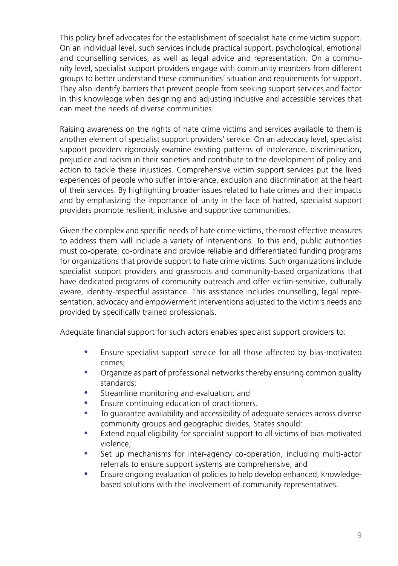This policy brief advocates for the establishment of specialist hate crime victim support. On an individual level, such services include practical support, psychological, emotional and counselling services, as well as legal advice and representation. On a community level, specialist support providers engage with community members from different groups to better understand these communities' situation and requirements for support. They also identify barriers that prevent people from seeking support services and factor in this knowledge when designing and adjusting inclusive and accessible services that can meet the needs of diverse communities.

Raising awareness on the rights of hate crime victims and services available to them is another element of specialist support providers' service. On an advocacy level, specialist support providers rigorously examine existing patterns of intolerance, discrimination, prejudice and racism in their societies and contribute to the development of policy and action to tackle these injustices. Comprehensive victim support services put the lived experiences of people who suffer intolerance, exclusion and discrimination at the heart of their services. By highlighting broader issues related to hate crimes and their impacts and by emphasizing the importance of unity in the face of hatred, specialist support providers promote resilient, inclusive and supportive communities.

Given the complex and specific needs of hate crime victims, the most effective measures to address them will include a variety of interventions. To this end, public authorities must co-operate, co-ordinate and provide reliable and differentiated funding programs for organizations that provide support to hate crime victims. Such organizations include specialist support providers and grassroots and community-based organizations that have dedicated programs of community outreach and offer victim-sensitive, culturally aware, identity-respectful assistance. This assistance includes counselling, legal representation, advocacy and empowerment interventions adjusted to the victim's needs and provided by specifically trained professionals.

Adequate financial support for such actors enables specialist support providers to:

- Ensure specialist support service for all those affected by bias-motivated crimes;
- Organize as part of professional networks thereby ensuring common quality standards;
- **•** Streamline monitoring and evaluation; and
- Ensure continuing education of practitioners.
- y To guarantee availability and accessibility of adequate services across diverse community groups and geographic divides, States should:
- Extend equal eligibility for specialist support to all victims of bias-motivated violence;
- Set up mechanisms for inter-agency co-operation, including multi-actor referrals to ensure support systems are comprehensive; and
- Ensure ongoing evaluation of policies to help develop enhanced, knowledgebased solutions with the involvement of community representatives.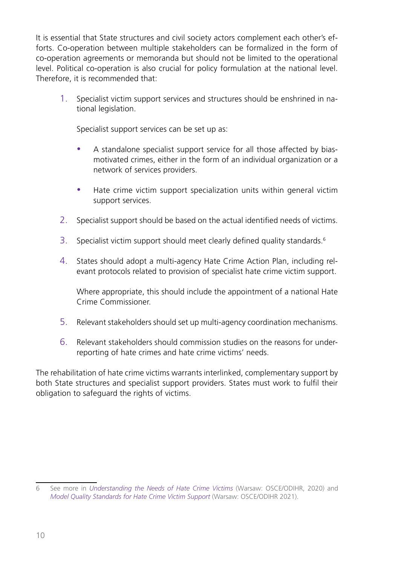It is essential that State structures and civil society actors complement each other's efforts. Co-operation between multiple stakeholders can be formalized in the form of co-operation agreements or memoranda but should not be limited to the operational level. Political co-operation is also crucial for policy formulation at the national level. Therefore, it is recommended that:

1. Specialist victim support services and structures should be enshrined in national legislation.

Specialist support services can be set up as:

- A standalone specialist support service for all those affected by biasmotivated crimes, either in the form of an individual organization or a network of services providers.
- Hate crime victim support specialization units within general victim support services.
- 2. Specialist support should be based on the actual identified needs of victims.
- 3. Specialist victim support should meet clearly defined quality standards.<sup>6</sup>
- 4. States should adopt a multi-agency Hate Crime Action Plan, including relevant protocols related to provision of specialist hate crime victim support.

Where appropriate, this should include the appointment of a national Hate Crime Commissioner.

- 5. Relevant stakeholders should set up multi-agency coordination mechanisms.
- 6. Relevant stakeholders should commission studies on the reasons for underreporting of hate crimes and hate crime victims' needs.

The rehabilitation of hate crime victims warrants interlinked, complementary support by both State structures and specialist support providers. States must work to fulfil their obligation to safeguard the rights of victims.

<sup>6</sup> See more in *[Understanding the Needs of Hate Crime Victims](https://www.osce.org/files/f/documents/0/5/463011.pdf)* (Warsaw: OSCE/ODIHR, 2020) and *[Model Quality Standards for Hate Crime Victim Support](https://www.osce.org/files/f/documents/1/0/485273_1.pdf)* (Warsaw: OSCE/ODIHR 2021).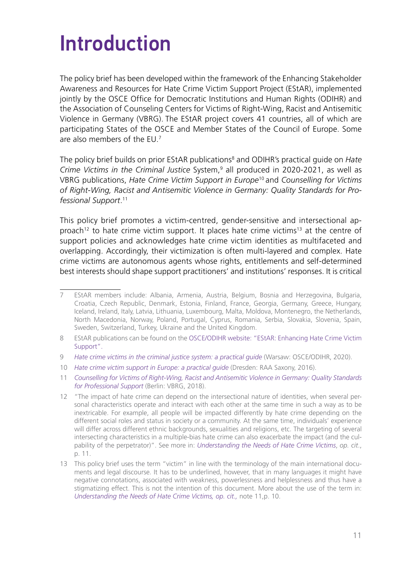### <span id="page-10-0"></span>Introduction

The policy brief has been developed within the framework of the Enhancing Stakeholder Awareness and Resources for Hate Crime Victim Support Project (EStAR), implemented jointly by the OSCE Office for Democratic Institutions and Human Rights (ODIHR) and the Association of Counseling Centers for Victims of Right-Wing, Racist and Antisemitic Violence in Germany (VBRG). The EStAR project covers 41 countries, all of which are participating States of the OSCE and Member States of the Council of Europe. Some are also members of the  $FU^7$ 

The policy brief builds on prior EStAR publications<sup>8</sup> and ODIHR's practical guide on *Hate Crime Victims in the Criminal Justice* System,9 all produced in 2020-2021, as well as VBRG publications, *Hate Crime Victim Support in Europe*10 and *Counselling for Victims of Right-Wing, Racist and Antisemitic Violence in Germany: Quality Standards for Professional Support*. 11

This policy brief promotes a victim-centred, gender-sensitive and intersectional approach<sup>12</sup> to hate crime victim support. It places hate crime victims<sup>13</sup> at the centre of support policies and acknowledges hate crime victim identities as multifaceted and overlapping. Accordingly, their victimization is often multi-layered and complex. Hate crime victims are autonomous agents whose rights, entitlements and self-determined best interests should shape support practitioners' and institutions' responses. It is critical

<sup>7</sup> EStAR members include: Albania, Armenia, Austria, Belgium, Bosnia and Herzegovina, Bulgaria, Croatia, Czech Republic, Denmark, Estonia, Finland, France, Georgia, Germany, Greece, Hungary, Iceland, Ireland, Italy, Latvia, Lithuania, Luxembourg, Malta, Moldova, Montenegro, the Netherlands, North Macedonia, Norway, Poland, Portugal, Cyprus, Romania, Serbia, Slovakia, Slovenia, Spain, Sweden, Switzerland, Turkey, Ukraine and the United Kingdom.

<sup>8</sup> EStAR publications can be found on the [OSCE/ODIHR website: "EStAR: Enhancing Hate Crime Victim](https://www.osce.org/odihr/hate-crime-victim-support) [Support"](https://www.osce.org/odihr/hate-crime-victim-support).

<sup>9</sup> *Hate crime victims in the criminal justice system: a practical quide* (Warsaw: OSCE/ODIHR, 2020).

<sup>10</sup> *[Hate crime victim support in Europe: a practical guide](https://www.raa-sachsen.de/media/561/RAA_Saxony_Hate_Crime_Victim_Support_in_Europe_2016_m.pdf)* (Dresden: RAA Saxony, 2016).

<sup>11</sup> *[Counselling for Victims of Right-Wing, Racist and Antisemitic Violence in Germany: Quality Standards](https://verband-brg.de/wp-content/uploads/2018/12/VBRG_Quality-Standards_ENG.pdf) [for Professional Support](https://verband-brg.de/wp-content/uploads/2018/12/VBRG_Quality-Standards_ENG.pdf)* (Berlin: VBRG, 2018).

<sup>12</sup> "The impact of hate crime can depend on the intersectional nature of identities, when several personal characteristics operate and interact with each other at the same time in such a way as to be inextricable. For example, all people will be impacted differently by hate crime depending on the different social roles and status in society or a community. At the same time, individuals' experience will differ across different ethnic backgrounds, sexualities and religions, etc. The targeting of several intersecting characteristics in a multiple-bias hate crime can also exacerbate the impact (and the culpability of the perpetrator)". See more in: *[Understanding the Needs of Hate Crime Victims](https://www.osce.org/files/f/documents/0/5/463011.pdf)*, *op. cit*., p. 11.

<sup>13</sup> This policy brief uses the term "victim" in line with the terminology of the main international documents and legal discourse. It has to be underlined, however, that in many languages it might have negative connotations, associated with weakness, powerlessness and helplessness and thus have a stigmatizing effect. This is not the intention of this document. More about the use of the term in: *[Understanding the Needs of Hate Crime Victims,](https://www.osce.org/files/f/documents/0/5/463011.pdf) op. cit.,* note 11,p. 10.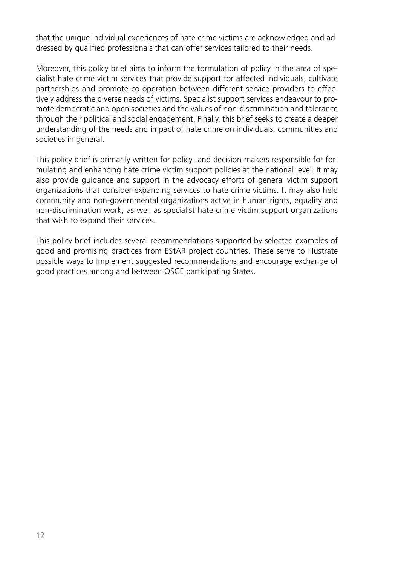that the unique individual experiences of hate crime victims are acknowledged and addressed by qualified professionals that can offer services tailored to their needs.

Moreover, this policy brief aims to inform the formulation of policy in the area of specialist hate crime victim services that provide support for affected individuals, cultivate partnerships and promote co-operation between different service providers to effectively address the diverse needs of victims. Specialist support services endeavour to promote democratic and open societies and the values of non-discrimination and tolerance through their political and social engagement. Finally, this brief seeks to create a deeper understanding of the needs and impact of hate crime on individuals, communities and societies in general.

This policy brief is primarily written for policy- and decision-makers responsible for formulating and enhancing hate crime victim support policies at the national level. It may also provide guidance and support in the advocacy efforts of general victim support organizations that consider expanding services to hate crime victims. It may also help community and non-governmental organizations active in human rights, equality and non-discrimination work, as well as specialist hate crime victim support organizations that wish to expand their services.

This policy brief includes several recommendations supported by selected examples of good and promising practices from EStAR project countries. These serve to illustrate possible ways to implement suggested recommendations and encourage exchange of good practices among and between OSCE participating States.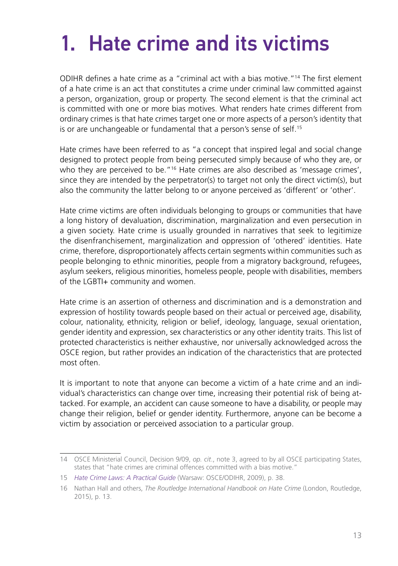## <span id="page-12-0"></span>1. Hate crime and its victims

ODIHR defines a hate crime as a "criminal act with a bias motive."14 The first element of a hate crime is an act that constitutes a crime under criminal law committed against a person, organization, group or property. The second element is that the criminal act is committed with one or more bias motives. What renders hate crimes different from ordinary crimes is that hate crimes target one or more aspects of a person's identity that is or are unchangeable or fundamental that a person's sense of self.<sup>15</sup>

Hate crimes have been referred to as "a concept that inspired legal and social change designed to protect people from being persecuted simply because of who they are, or who they are perceived to be."<sup>16</sup> Hate crimes are also described as 'message crimes', since they are intended by the perpetrator(s) to target not only the direct victim(s), but also the community the latter belong to or anyone perceived as 'different' or 'other'.

Hate crime victims are often individuals belonging to groups or communities that have a long history of devaluation, discrimination, marginalization and even persecution in a given society. Hate crime is usually grounded in narratives that seek to legitimize the disenfranchisement, marginalization and oppression of 'othered' identities. Hate crime, therefore, disproportionately affects certain segments within communities such as people belonging to ethnic minorities, people from a migratory background, refugees, asylum seekers, religious minorities, homeless people, people with disabilities, members of the LGBTI+ community and women.

Hate crime is an assertion of otherness and discrimination and is a demonstration and expression of hostility towards people based on their actual or perceived age, disability, colour, nationality, ethnicity, religion or belief, ideology, language, sexual orientation, gender identity and expression, sex characteristics or any other identity traits. This list of protected characteristics is neither exhaustive, nor universally acknowledged across the OSCE region, but rather provides an indication of the characteristics that are protected most often.

It is important to note that anyone can become a victim of a hate crime and an individual's characteristics can change over time, increasing their potential risk of being attacked. For example, an accident can cause someone to have a disability, or people may change their religion, belief or gender identity. Furthermore, anyone can be become a victim by association or perceived association to a particular group.

<sup>14</sup> OSCE Ministerial Council, Decision 9/09, *op. cit*., note 3, agreed to by all OSCE participating States, states that "hate crimes are criminal offences committed with a bias motive."

<sup>15</sup> *[Hate Crime Laws: A Practical Guide](https://www.osce.org/files/f/documents/3/e/36426.pdf)* (Warsaw: OSCE/ODIHR, 2009), p. 38.

<sup>16</sup> Nathan Hall and others, *The Routledge International Handbook on Hate Crime (London, Routledge,* 2015), p. 13.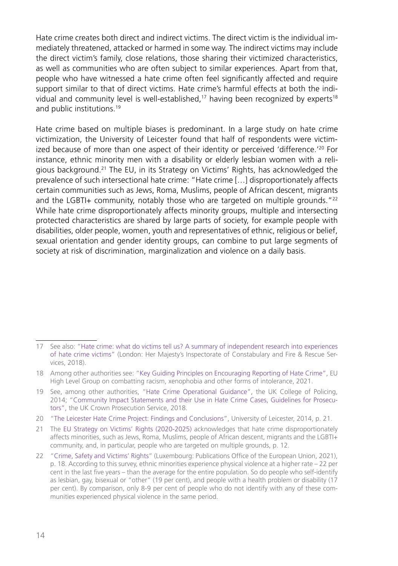Hate crime creates both direct and indirect victims. The direct victim is the individual immediately threatened, attacked or harmed in some way. The indirect victims may include the direct victim's family, close relations, those sharing their victimized characteristics, as well as communities who are often subject to similar experiences. Apart from that, people who have witnessed a hate crime often feel significantly affected and require support similar to that of direct victims. Hate crime's harmful effects at both the individual and community level is well-established, $17$  having been recognized by experts $18$ and public institutions.19

Hate crime based on multiple biases is predominant. In a large study on hate crime victimization, the University of Leicester found that half of respondents were victimized because of more than one aspect of their identity or perceived 'difference.'<sup>20</sup> For instance, ethnic minority men with a disability or elderly lesbian women with a religious background.21 The EU, in its Strategy on Victims' Rights, has acknowledged the prevalence of such intersectional hate crime: "Hate crime […] disproportionately affects certain communities such as Jews, Roma, Muslims, people of African descent, migrants and the LGBTI+ community, notably those who are targeted on multiple grounds."<sup>22</sup> While hate crime disproportionately affects minority groups, multiple and intersecting protected characteristics are shared by large parts of society, for example people with disabilities, older people, women, youth and representatives of ethnic, religious or belief, sexual orientation and gender identity groups, can combine to put large segments of society at risk of discrimination, marginalization and violence on a daily basis.

<sup>17</sup> See also: "[Hate crime: what do victims tell us? A summary of independent research into experiences](https://www.justiceinspectorates.gov.uk/hmicfrs/wp-content/uploads/hate-crime-what-do-victims-tell-us.pdf)  [of hate crime victims"](https://www.justiceinspectorates.gov.uk/hmicfrs/wp-content/uploads/hate-crime-what-do-victims-tell-us.pdf) (London: Her Majesty's Inspectorate of Constabulary and Fire & Rescue Services, 2018).

<sup>18</sup> Among other authorities see: ["Key Guiding Principles on Encouraging Reporting of Hate Crime"](https://ec.europa.eu/newsroom/just/document.cfm?doc_id=75196), EU High Level Group on combatting racism, xenophobia and other forms of intolerance, 2021.

<sup>19</sup> See, among other authorities, "[Hate Crime Operational Guidance"](https://www.whatdotheyknow.com/request/577532/response/1384882/attach/5/Disclosure%202.pdf?cookie_passthrough=1), the UK College of Policing, 2014; "[Community Impact Statements and their Use in Hate Crime Cases, Guidelines for Prosecu](https://www.cps.gov.uk/sites/default/files/documents/publications/Community-Impact-Statements-and-Hate-Crime-guidelines.pdf)[tors](https://www.cps.gov.uk/sites/default/files/documents/publications/Community-Impact-Statements-and-Hate-Crime-guidelines.pdf)", the UK Crown Prosecution Service, 2018.

<sup>20</sup> "[The Leicester Hate Crime Project: Findings and Conclusions"](https://le.ac.uk/-/media/uol/docs/research-centres/hate-studies/our-reports/fcfullreport.pdf), University of Leicester, 2014, p. 21.

<sup>21</sup> The [EU Strategy on Victims' Rights \(2020-2025\)](https://ec.europa.eu/info/policies/justice-and-fundamental-rights/criminal-justice/protecting-victims-rights/eu-strategy-victims-rights-2020-2025_en) acknowledges that hate crime disproportionately affects minorities, such as Jews, Roma, Muslims, people of African descent, migrants and the LGBTI+ community, and, in particular, people who are targeted on multiple grounds, p. 12.

<sup>22</sup> "[Crime, Safety and Victims' Rights"](https://fra.europa.eu/sites/default/files/fra_uploads/fra-2021-crime-safety-victims-rights_en.pdf) (Luxembourg: Publications Office of the European Union, 2021), p. 18. According to this survey, ethnic minorities experience physical violence at a higher rate – 22 per cent in the last five years – than the average for the entire population. So do people who self-identify as lesbian, gay, bisexual or "other" (19 per cent), and people with a health problem or disability (17 per cent). By comparison, only 8-9 per cent of people who do not identify with any of these communities experienced physical violence in the same period.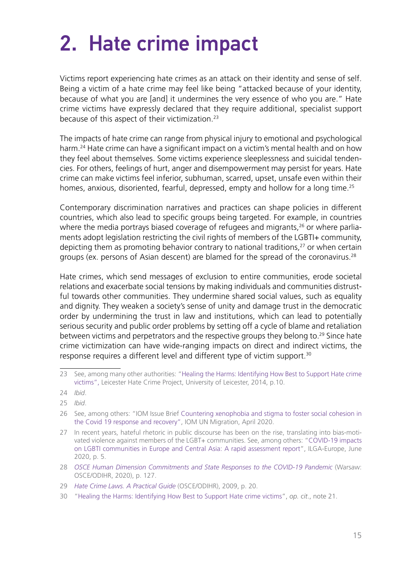## <span id="page-14-0"></span>2. Hate crime impact

Victims report experiencing hate crimes as an attack on their identity and sense of self. Being a victim of a hate crime may feel like being "attacked because of your identity, because of what you are [and] it undermines the very essence of who you are." Hate crime victims have expressly declared that they require additional, specialist support because of this aspect of their victimization.23

The impacts of hate crime can range from physical injury to emotional and psychological harm.<sup>24</sup> Hate crime can have a significant impact on a victim's mental health and on how they feel about themselves. Some victims experience sleeplessness and suicidal tendencies. For others, feelings of hurt, anger and disempowerment may persist for years. Hate crime can make victims feel inferior, subhuman, scarred, upset, unsafe even within their homes, anxious, disoriented, fearful, depressed, empty and hollow for a long time.<sup>25</sup>

Contemporary discrimination narratives and practices can shape policies in different countries, which also lead to specific groups being targeted. For example, in countries where the media portrays biased coverage of refugees and migrants, $26$  or where parliaments adopt legislation restricting the civil rights of members of the LGBTI+ community, depicting them as promoting behavior contrary to national traditions, $27$  or when certain groups (ex. persons of Asian descent) are blamed for the spread of the coronavirus.<sup>28</sup>

Hate crimes, which send messages of exclusion to entire communities, erode societal relations and exacerbate social tensions by making individuals and communities distrustful towards other communities. They undermine shared social values, such as equality and dignity. They weaken a society's sense of unity and damage trust in the democratic order by undermining the trust in law and institutions, which can lead to potentially serious security and public order problems by setting off a cycle of blame and retaliation between victims and perpetrators and the respective groups they belong to.<sup>29</sup> Since hate crime victimization can have wide-ranging impacts on direct and indirect victims, the response requires a different level and different type of victim support.<sup>30</sup>

<sup>23</sup> See, among many other authorities: ["Healing the Harms: Identifying How Best to Support Hate crime](https://www2.le.ac.uk/departments/criminology/hate/documents/healing-the-harms-of-hate-report) [victims"](https://www2.le.ac.uk/departments/criminology/hate/documents/healing-the-harms-of-hate-report), Leicester Hate Crime Project, University of Leicester, 2014, p.10.

<sup>24</sup> *Ibid*.

<sup>25</sup> *Ibid*.

<sup>26</sup> See, among others: "IOM Issue Brief [Countering xenophobia and stigma to foster social cohesion in](https://www.iom.int/sites/g/files/tmzbdl486/files/documents/countering_xenophobia_and_stigma_130720.pdf) [the Covid 19 response and recovery"](https://www.iom.int/sites/g/files/tmzbdl486/files/documents/countering_xenophobia_and_stigma_130720.pdf), IOM UN Migration, April 2020.

<sup>27</sup> In recent years, hateful rhetoric in public discourse has been on the rise, translating into bias-motivated violence against members of the LGBT+ communities. See, among others: ["COVID-19 impacts](https://www.ilga-europe.org/sites/default/files/covid19-lgbti-assessment-2020.pdf) [on LGBTI communities in Europe and Central Asia: A rapid assessment report](https://www.ilga-europe.org/sites/default/files/covid19-lgbti-assessment-2020.pdf)", ILGA-Europe, June 2020, p. 5.

<sup>28</sup> *[OSCE Human Dimension Commitments and State Responses to the COVID-19 Pandemic](https://www.osce.org/files/f/documents/e/c/457567_0.pdf)* (Warsaw: OSCE/ODIHR, 2020), p. 127.

<sup>29</sup> *[Hate Crime Laws. A Practical Guide](https://www.osce.org/files/f/documents/3/e/36426.pdf)* (OSCE/ODIHR), 2009, p. 20.

<sup>30</sup> "[Healing the Harms: Identifying How Best to Support Hate crime victims"](https://www2.le.ac.uk/departments/criminology/hate/documents/healing-the-harms-of-hate-report), *op. cit*., note 21.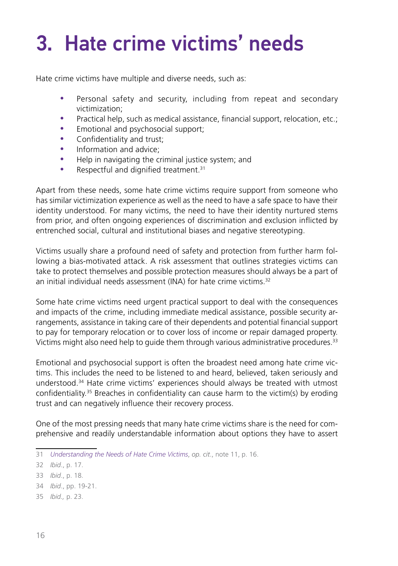## <span id="page-15-0"></span>3. Hate crime victims' needs

Hate crime victims have multiple and diverse needs, such as:

- Personal safety and security, including from repeat and secondary victimization;
- Practical help, such as medical assistance, financial support, relocation, etc.;
- Emotional and psychosocial support;
- Confidentiality and trust;
- Information and advice:
- Help in navigating the criminal justice system; and
- Respectful and dignified treatment.<sup>31</sup>

Apart from these needs, some hate crime victims require support from someone who has similar victimization experience as well as the need to have a safe space to have their identity understood. For many victims, the need to have their identity nurtured stems from prior, and often ongoing experiences of discrimination and exclusion inflicted by entrenched social, cultural and institutional biases and negative stereotyping.

Victims usually share a profound need of safety and protection from further harm following a bias-motivated attack. A risk assessment that outlines strategies victims can take to protect themselves and possible protection measures should always be a part of an initial individual needs assessment (INA) for hate crime victims.<sup>32</sup>

Some hate crime victims need urgent practical support to deal with the consequences and impacts of the crime, including immediate medical assistance, possible security arrangements, assistance in taking care of their dependents and potential financial support to pay for temporary relocation or to cover loss of income or repair damaged property. Victims might also need help to guide them through various administrative procedures.33

Emotional and psychosocial support is often the broadest need among hate crime victims. This includes the need to be listened to and heard, believed, taken seriously and understood.34 Hate crime victims' experiences should always be treated with utmost confidentiality.<sup>35</sup> Breaches in confidentiality can cause harm to the victim(s) by eroding trust and can negatively influence their recovery process.

One of the most pressing needs that many hate crime victims share is the need for comprehensive and readily understandable information about options they have to assert

35 *Ibid.,* p. 23.

<sup>31</sup> *[Understanding the Needs of Hate Crime Victims](https://www.osce.org/files/f/documents/0/5/463011.pdf)*, *op. cit*., note 11, p. 16.

<sup>32</sup> *Ibid*., p. 17.

<sup>33</sup> *Ibid*., p. 18.

<sup>34</sup> *Ibid*., pp. 19-21.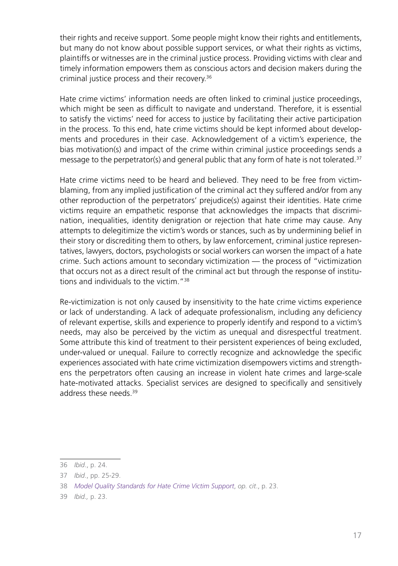their rights and receive support. Some people might know their rights and entitlements, but many do not know about possible support services, or what their rights as victims, plaintiffs or witnesses are in the criminal justice process. Providing victims with clear and timely information empowers them as conscious actors and decision makers during the criminal justice process and their recovery.36

Hate crime victims' information needs are often linked to criminal justice proceedings, which might be seen as difficult to navigate and understand. Therefore, it is essential to satisfy the victims' need for access to justice by facilitating their active participation in the process. To this end, hate crime victims should be kept informed about developments and procedures in their case. Acknowledgement of a victim's experience, the bias motivation(s) and impact of the crime within criminal justice proceedings sends a message to the perpetrator(s) and general public that any form of hate is not tolerated.37

Hate crime victims need to be heard and believed. They need to be free from victimblaming, from any implied justification of the criminal act they suffered and/or from any other reproduction of the perpetrators' prejudice(s) against their identities. Hate crime victims require an empathetic response that acknowledges the impacts that discrimination, inequalities, identity denigration or rejection that hate crime may cause. Any attempts to delegitimize the victim's words or stances, such as by undermining belief in their story or discrediting them to others, by law enforcement, criminal justice representatives, lawyers, doctors, psychologists or social workers can worsen the impact of a hate crime. Such actions amount to secondary victimization — the process of "victimization that occurs not as a direct result of the criminal act but through the response of institutions and individuals to the victim."38

Re-victimization is not only caused by insensitivity to the hate crime victims experience or lack of understanding. A lack of adequate professionalism, including any deficiency of relevant expertise, skills and experience to properly identify and respond to a victim's needs, may also be perceived by the victim as unequal and disrespectful treatment. Some attribute this kind of treatment to their persistent experiences of being excluded, under-valued or unequal. Failure to correctly recognize and acknowledge the specific experiences associated with hate crime victimization disempowers victims and strengthens the perpetrators often causing an increase in violent hate crimes and large-scale hate-motivated attacks. Specialist services are designed to specifically and sensitively address these needs.<sup>39</sup>

<sup>36</sup> *Ibid*., p. 24.

<sup>37</sup> *Ibid*., pp. 25-29.

<sup>38</sup> *[Model Quality Standards for Hate Crime Victim Support](https://www.osce.org/files/f/documents/1/0/485273_0.pdf)*, *op. cit*., p. 23.

<sup>39</sup> *Ibid.,* p. 23.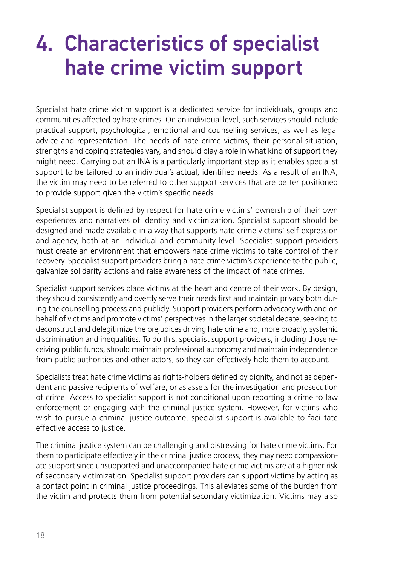### <span id="page-17-0"></span>4. Characteristics of specialist hate crime victim support

Specialist hate crime victim support is a dedicated service for individuals, groups and communities affected by hate crimes. On an individual level, such services should include practical support, psychological, emotional and counselling services, as well as legal advice and representation. The needs of hate crime victims, their personal situation, strengths and coping strategies vary, and should play a role in what kind of support they might need. Carrying out an INA is a particularly important step as it enables specialist support to be tailored to an individual's actual, identified needs. As a result of an INA, the victim may need to be referred to other support services that are better positioned to provide support given the victim's specific needs.

Specialist support is defined by respect for hate crime victims' ownership of their own experiences and narratives of identity and victimization. Specialist support should be designed and made available in a way that supports hate crime victims' self-expression and agency, both at an individual and community level. Specialist support providers must create an environment that empowers hate crime victims to take control of their recovery. Specialist support providers bring a hate crime victim's experience to the public, galvanize solidarity actions and raise awareness of the impact of hate crimes.

Specialist support services place victims at the heart and centre of their work. By design, they should consistently and overtly serve their needs first and maintain privacy both during the counselling process and publicly. Support providers perform advocacy with and on behalf of victims and promote victims' perspectives in the larger societal debate, seeking to deconstruct and delegitimize the prejudices driving hate crime and, more broadly, systemic discrimination and inequalities. To do this, specialist support providers, including those receiving public funds, should maintain professional autonomy and maintain independence from public authorities and other actors, so they can effectively hold them to account.

Specialists treat hate crime victims as rights-holders defined by dignity, and not as dependent and passive recipients of welfare, or as assets for the investigation and prosecution of crime. Access to specialist support is not conditional upon reporting a crime to law enforcement or engaging with the criminal justice system. However, for victims who wish to pursue a criminal justice outcome, specialist support is available to facilitate effective access to justice.

The criminal justice system can be challenging and distressing for hate crime victims. For them to participate effectively in the criminal justice process, they may need compassionate support since unsupported and unaccompanied hate crime victims are at a higher risk of secondary victimization. Specialist support providers can support victims by acting as a contact point in criminal justice proceedings. This alleviates some of the burden from the victim and protects them from potential secondary victimization. Victims may also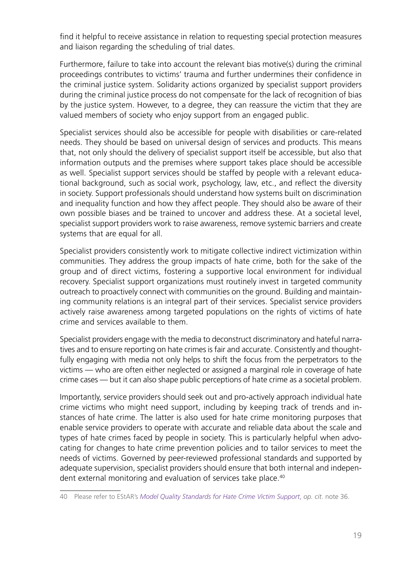find it helpful to receive assistance in relation to requesting special protection measures and liaison regarding the scheduling of trial dates.

Furthermore, failure to take into account the relevant bias motive(s) during the criminal proceedings contributes to victims' trauma and further undermines their confidence in the criminal justice system. Solidarity actions organized by specialist support providers during the criminal justice process do not compensate for the lack of recognition of bias by the justice system. However, to a degree, they can reassure the victim that they are valued members of society who enjoy support from an engaged public.

Specialist services should also be accessible for people with disabilities or care-related needs. They should be based on universal design of services and products. This means that, not only should the delivery of specialist support itself be accessible, but also that information outputs and the premises where support takes place should be accessible as well. Specialist support services should be staffed by people with a relevant educational background, such as social work, psychology, law, etc., and reflect the diversity in society. Support professionals should understand how systems built on discrimination and inequality function and how they affect people. They should also be aware of their own possible biases and be trained to uncover and address these. At a societal level, specialist support providers work to raise awareness, remove systemic barriers and create systems that are equal for all.

Specialist providers consistently work to mitigate collective indirect victimization within communities. They address the group impacts of hate crime, both for the sake of the group and of direct victims, fostering a supportive local environment for individual recovery. Specialist support organizations must routinely invest in targeted community outreach to proactively connect with communities on the ground. Building and maintaining community relations is an integral part of their services. Specialist service providers actively raise awareness among targeted populations on the rights of victims of hate crime and services available to them.

Specialist providers engage with the media to deconstruct discriminatory and hateful narratives and to ensure reporting on hate crimes is fair and accurate. Consistently and thoughtfully engaging with media not only helps to shift the focus from the perpetrators to the victims — who are often either neglected or assigned a marginal role in coverage of hate crime cases — but it can also shape public perceptions of hate crime as a societal problem.

Importantly, service providers should seek out and pro-actively approach individual hate crime victims who might need support, including by keeping track of trends and instances of hate crime. The latter is also used for hate crime monitoring purposes that enable service providers to operate with accurate and reliable data about the scale and types of hate crimes faced by people in society. This is particularly helpful when advocating for changes to hate crime prevention policies and to tailor services to meet the needs of victims. Governed by peer-reviewed professional standards and supported by adequate supervision, specialist providers should ensure that both internal and independent external monitoring and evaluation of services take place.<sup>40</sup>

<sup>40</sup> Please refer to EStAR's *[Model Quality Standards for Hate Crime Victim Support](https://www.osce.org/odihr/485273)*, *op. cit*. note 36.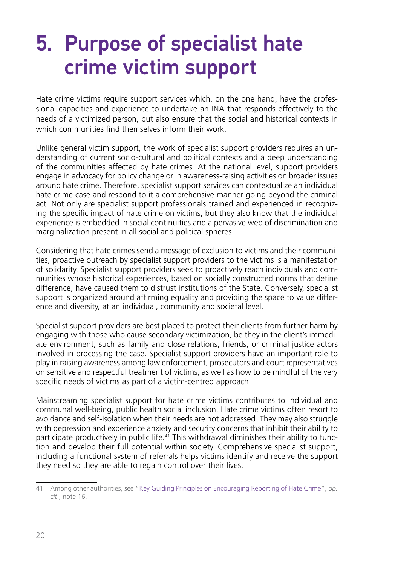### <span id="page-19-0"></span>5. Purpose of specialist hate crime victim support

Hate crime victims require support services which, on the one hand, have the professional capacities and experience to undertake an INA that responds effectively to the needs of a victimized person, but also ensure that the social and historical contexts in which communities find themselves inform their work

Unlike general victim support, the work of specialist support providers requires an understanding of current socio-cultural and political contexts and a deep understanding of the communities affected by hate crimes. At the national level, support providers engage in advocacy for policy change or in awareness-raising activities on broader issues around hate crime. Therefore, specialist support services can contextualize an individual hate crime case and respond to it a comprehensive manner going beyond the criminal act. Not only are specialist support professionals trained and experienced in recognizing the specific impact of hate crime on victims, but they also know that the individual experience is embedded in social continuities and a pervasive web of discrimination and marginalization present in all social and political spheres.

Considering that hate crimes send a message of exclusion to victims and their communities, proactive outreach by specialist support providers to the victims is a manifestation of solidarity. Specialist support providers seek to proactively reach individuals and communities whose historical experiences, based on socially constructed norms that define difference, have caused them to distrust institutions of the State. Conversely, specialist support is organized around affirming equality and providing the space to value difference and diversity, at an individual, community and societal level.

Specialist support providers are best placed to protect their clients from further harm by engaging with those who cause secondary victimization, be they in the client's immediate environment, such as family and close relations, friends, or criminal justice actors involved in processing the case. Specialist support providers have an important role to play in raising awareness among law enforcement, prosecutors and court representatives on sensitive and respectful treatment of victims, as well as how to be mindful of the very specific needs of victims as part of a victim-centred approach.

Mainstreaming specialist support for hate crime victims contributes to individual and communal well-being, public health social inclusion. Hate crime victims often resort to avoidance and self-isolation when their needs are not addressed. They may also struggle with depression and experience anxiety and security concerns that inhibit their ability to participate productively in public life.<sup>41</sup> This withdrawal diminishes their ability to function and develop their full potential within society. Comprehensive specialist support, including a functional system of referrals helps victims identify and receive the support they need so they are able to regain control over their lives.

<sup>41</sup> Among other authorities, see "[Key Guiding Principles on Encouraging Reporting of Hate Crime"](https://standup-project.eu/2021/04/16/key-guiding-principles-on-encouraging-reporting-of-hate-crime/), *op. cit*., note 16.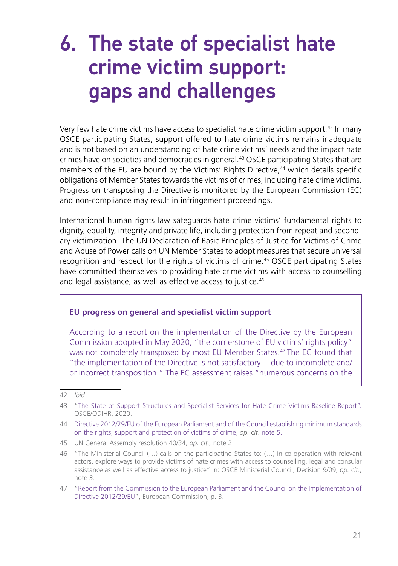### <span id="page-20-0"></span>6. The state of specialist hate crime victim support: gaps and challenges

Very few hate crime victims have access to specialist hate crime victim support.42 In many OSCE participating States, support offered to hate crime victims remains inadequate and is not based on an understanding of hate crime victims' needs and the impact hate crimes have on societies and democracies in general.43 OSCE participating States that are members of the EU are bound by the Victims' Rights Directive,<sup>44</sup> which details specific obligations of Member States towards the victims of crimes, including hate crime victims. Progress on transposing the Directive is monitored by the European Commission (EC) and non-compliance may result in infringement proceedings.

International human rights law safeguards hate crime victims' fundamental rights to dignity, equality, integrity and private life, including protection from repeat and secondary victimization. The UN Declaration of Basic Principles of Justice for Victims of Crime and Abuse of Power calls on UN Member States to adopt measures that secure universal recognition and respect for the rights of victims of crime.45 OSCE participating States have committed themselves to providing hate crime victims with access to counselling and legal assistance, as well as effective access to justice.<sup>46</sup>

#### **EU progress on general and specialist victim support**

According to a report on the implementation of the Directive by the European Commission adopted in May 2020, "the cornerstone of EU victims' rights policy" was not completely transposed by most EU Member States.<sup>47</sup> The EC found that "the implementation of the Directive is not satisfactory… due to incomplete and/ or incorrect transposition." The EC assessment raises "numerous concerns on the

<sup>42</sup> *Ibid*.

<sup>43</sup> "[The State of Support Structures and Specialist Services for Hate Crime Victims Baseline Report](https://www.osce.org/odihr/467916)*",*  OSCE/ODIHR, 2020.

<sup>44</sup> [Directive 2012/29/EU of the European Parliament and of the Council establishing minimum standards](https://eur-lex.europa.eu/legal-content/EN/TXT/HTML/?uri=CELEX:32012L0029&from=EN) [on the rights, support and protection of victims of crime,](https://eur-lex.europa.eu/legal-content/EN/TXT/HTML/?uri=CELEX:32012L0029&from=EN) *op. cit*. note 5.

<sup>45</sup> UN General Assembly resolution 40/34, *op. cit.,* note 2.

<sup>46</sup> "The Ministerial Council (…) calls on the participating States to: (…) in co-operation with relevant actors, explore ways to provide victims of hate crimes with access to counselling, legal and consular assistance as well as effective access to justice" in: OSCE Ministerial Council, Decision 9/09, *op. cit*., note 3.

<sup>47</sup> "[Report from the Commission to the European Parliament and the Council on the Implementation of](https://eur-lex.europa.eu/legal-content/EN/TXT/PDF/?uri=CELEX:52020DC0188&from=EN) [Directive 2012/29/EU"](https://eur-lex.europa.eu/legal-content/EN/TXT/PDF/?uri=CELEX:52020DC0188&from=EN), European Commission, p. 3.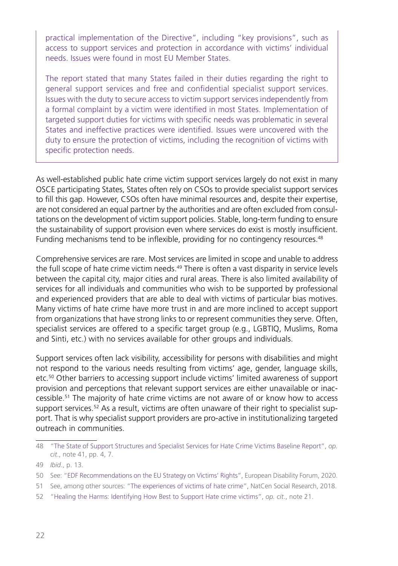practical implementation of the Directive", including "key provisions", such as access to support services and protection in accordance with victims' individual needs. Issues were found in most EU Member States.

The report stated that many States failed in their duties regarding the right to general support services and free and confidential specialist support services. Issues with the duty to secure access to victim support services independently from a formal complaint by a victim were identified in most States. Implementation of targeted support duties for victims with specific needs was problematic in several States and ineffective practices were identified. Issues were uncovered with the duty to ensure the protection of victims, including the recognition of victims with specific protection needs.

As well-established public hate crime victim support services largely do not exist in many OSCE participating States, States often rely on CSOs to provide specialist support services to fill this gap. However, CSOs often have minimal resources and, despite their expertise, are not considered an equal partner by the authorities and are often excluded from consultations on the development of victim support policies. Stable, long-term funding to ensure the sustainability of support provision even where services do exist is mostly insufficient. Funding mechanisms tend to be inflexible, providing for no contingency resources.<sup>48</sup>

Comprehensive services are rare. Most services are limited in scope and unable to address the full scope of hate crime victim needs.<sup>49</sup> There is often a vast disparity in service levels between the capital city, major cities and rural areas. There is also limited availability of services for all individuals and communities who wish to be supported by professional and experienced providers that are able to deal with victims of particular bias motives. Many victims of hate crime have more trust in and are more inclined to accept support from organizations that have strong links to or represent communities they serve. Often, specialist services are offered to a specific target group (e.g., LGBTIQ, Muslims, Roma and Sinti, etc.) with no services available for other groups and individuals.

Support services often lack visibility, accessibility for persons with disabilities and might not respond to the various needs resulting from victims' age, gender, language skills, etc.50 Other barriers to accessing support include victims' limited awareness of support provision and perceptions that relevant support services are either unavailable or inaccessible.51 The majority of hate crime victims are not aware of or know how to access support services.<sup>52</sup> As a result, victims are often unaware of their right to specialist support. That is why specialist support providers are pro-active in institutionalizing targeted outreach in communities.

<sup>48</sup> "[The State of Support Structures and Specialist Services for Hate Crime Victims Baseline Report"](https://www.osce.org/odihr/467916), *op. cit*., note 41, pp. 4, 7.

<sup>49</sup> *Ibid*., p. 13.

<sup>50</sup> See: "[EDF Recommendations on the EU Strategy on Victims' Rights](https://www.edf-feph.org/content/uploads/2021/02/EDF-recommendations-on-EU-Strategy-for-victims-rights-2020-2024_final.pdf)", European Disability Forum, 2020.

<sup>51</sup> See, among other sources: "[The experiences of victims of hate crime"](https://natcen.ac.uk/media/1622569/the-experiences-of-victims-of-hate-crime.pdf), NatCen Social Research, 2018.

<sup>52</sup> "[Healing the Harms: Identifying How Best to Support Hate crime victims](https://www2.le.ac.uk/departments/criminology/hate/documents/healing-the-harms-of-hate-report)", *op. cit*., note 21.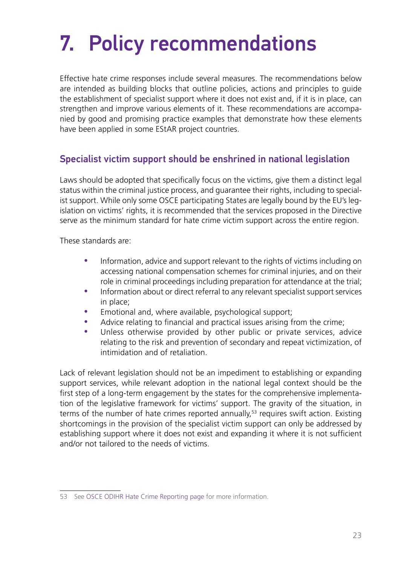# <span id="page-22-0"></span>7. Policy recommendations

Effective hate crime responses include several measures. The recommendations below are intended as building blocks that outline policies, actions and principles to guide the establishment of specialist support where it does not exist and, if it is in place, can strengthen and improve various elements of it. These recommendations are accompanied by good and promising practice examples that demonstrate how these elements have been applied in some EStAR project countries.

#### Specialist victim support should be enshrined in national legislation

Laws should be adopted that specifically focus on the victims, give them a distinct legal status within the criminal justice process, and guarantee their rights, including to specialist support. While only some OSCE participating States are legally bound by the EU's legislation on victims' rights, it is recommended that the services proposed in the Directive serve as the minimum standard for hate crime victim support across the entire region.

These standards are:

- Information, advice and support relevant to the rights of victims including on accessing national compensation schemes for criminal injuries, and on their role in criminal proceedings including preparation for attendance at the trial;
- Information about or direct referral to any relevant specialist support services in place;
- Emotional and, where available, psychological support;
- Advice relating to financial and practical issues arising from the crime;
- Unless otherwise provided by other public or private services, advice relating to the risk and prevention of secondary and repeat victimization, of intimidation and of retaliation.

Lack of relevant legislation should not be an impediment to establishing or expanding support services, while relevant adoption in the national legal context should be the first step of a long-term engagement by the states for the comprehensive implementation of the legislative framework for victims' support. The gravity of the situation, in terms of the number of hate crimes reported annually,<sup>53</sup> requires swift action. Existing shortcomings in the provision of the specialist victim support can only be addressed by establishing support where it does not exist and expanding it where it is not sufficient and/or not tailored to the needs of victims.

<sup>53</sup> See [OSCE ODIHR Hate Crime Reporting page](https://hatecrime.osce.org/) for more information.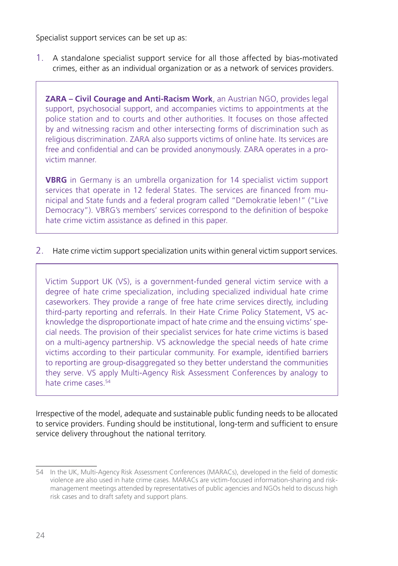Specialist support services can be set up as:

1. A standalone specialist support service for all those affected by bias-motivated crimes, either as an individual organization or as a network of services providers.

**ZARA – Civil Courage and Anti-Racism Work**, an Austrian NGO, provides legal support, psychosocial support, and accompanies victims to appointments at the police station and to courts and other authorities. It focuses on those affected by and witnessing racism and other intersecting forms of discrimination such as religious discrimination. ZARA also supports victims of online hate. Its services are free and confidential and can be provided anonymously. ZARA operates in a provictim manner.

**VBRG** in Germany is an umbrella organization for 14 specialist victim support services that operate in 12 federal States. The services are financed from municipal and State funds and a federal program called "Demokratie leben!" ("Live Democracy"). VBRG's members' services correspond to the definition of bespoke hate crime victim assistance as defined in this paper.

2. Hate crime victim support specialization units within general victim support services.

Victim Support UK (VS), is a government-funded general victim service with a degree of hate crime specialization, including specialized individual hate crime caseworkers. They provide a range of free hate crime services directly, including third-party reporting and referrals. In their Hate Crime Policy Statement, VS acknowledge the disproportionate impact of hate crime and the ensuing victims' special needs. The provision of their specialist services for hate crime victims is based on a multi-agency partnership. VS acknowledge the special needs of hate crime victims according to their particular community. For example, identified barriers to reporting are group-disaggregated so they better understand the communities they serve. VS apply Multi-Agency Risk Assessment Conferences by analogy to hate crime cases.<sup>54</sup>

Irrespective of the model, adequate and sustainable public funding needs to be allocated to service providers. Funding should be institutional, long-term and sufficient to ensure service delivery throughout the national territory.

<sup>54</sup> In the UK, Multi-Agency Risk Assessment Conferences (MARACs), developed in the field of domestic violence are also used in hate crime cases. MARACs are victim-focused information-sharing and riskmanagement meetings attended by representatives of public agencies and NGOs held to discuss high risk cases and to draft safety and support plans.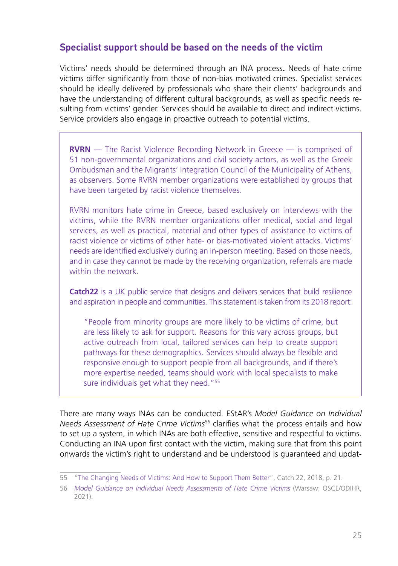#### <span id="page-24-0"></span>Specialist support should be based on the needs of the victim

Victims' needs should be determined through an INA process**.** Needs of hate crime victims differ significantly from those of non-bias motivated crimes. Specialist services should be ideally delivered by professionals who share their clients' backgrounds and have the understanding of different cultural backgrounds, as well as specific needs resulting from victims' gender. Services should be available to direct and indirect victims. Service providers also engage in proactive outreach to potential victims.

**RVRN** — The Racist Violence Recording Network in Greece — is comprised of 51 non-governmental organizations and civil society actors, as well as the Greek Ombudsman and the Migrants' Integration Council of the Municipality of Athens, as observers. Some RVRN member organizations were established by groups that have been targeted by racist violence themselves.

RVRN monitors hate crime in Greece, based exclusively on interviews with the victims, while the RVRN member organizations offer medical, social and legal services, as well as practical, material and other types of assistance to victims of racist violence or victims of other hate- or bias-motivated violent attacks. Victims' needs are identified exclusively during an in-person meeting. Based on those needs, and in case they cannot be made by the receiving organization, referrals are made within the network

**Catch22** is a UK public service that designs and delivers services that build resilience and aspiration in people and communities. This statement is taken from its 2018 report:

"People from minority groups are more likely to be victims of crime, but are less likely to ask for support. Reasons for this vary across groups, but active outreach from local, tailored services can help to create support pathways for these demographics. Services should always be flexible and responsive enough to support people from all backgrounds, and if there's more expertise needed, teams should work with local specialists to make sure individuals get what they need."<sup>55</sup>

There are many ways INAs can be conducted. EStAR's *Model Guidance on Individual Needs Assessment of Hate Crime Victims*56 clarifies what the process entails and how to set up a system, in which INAs are both effective, sensitive and respectful to victims. Conducting an INA upon first contact with the victim, making sure that from this point onwards the victim's right to understand and be understood is guaranteed and updat-

<sup>55</sup> "[The Changing Needs of Victims: And How to Support Them Better](https://www.catch-22.org.uk/news/the-changing-needs-of-victims-and-how-to-support-them-better/)", Catch 22, 2018, p. 21.

<sup>56</sup> *[Model Guidance on Individual Needs Assessments of Hate Crime Victims](https://www.osce.org/files/f/documents/5/9/489782_0.pdf)* (Warsaw: OSCE/ODIHR, 2021).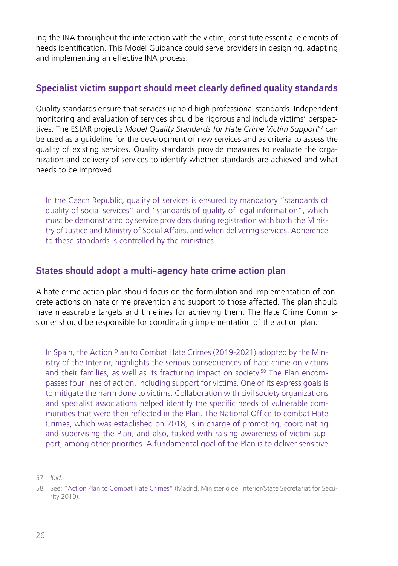<span id="page-25-0"></span>ing the INA throughout the interaction with the victim, constitute essential elements of needs identification. This Model Guidance could serve providers in designing, adapting and implementing an effective INA process.

#### Specialist victim support should meet clearly defined quality standards

Quality standards ensure that services uphold high professional standards. Independent monitoring and evaluation of services should be rigorous and include victims' perspectives. The EStAR project's *Model Quality Standards for Hate Crime Victim Support*<sup>57</sup> can be used as a guideline for the development of new services and as criteria to assess the quality of existing services. Quality standards provide measures to evaluate the organization and delivery of services to identify whether standards are achieved and what needs to be improved.

In the Czech Republic, quality of services is ensured by mandatory "standards of quality of social services" and "standards of quality of legal information", which must be demonstrated by service providers during registration with both the Ministry of Justice and Ministry of Social Affairs, and when delivering services. Adherence to these standards is controlled by the ministries.

#### States should adopt a multi-agency hate crime action plan

A hate crime action plan should focus on the formulation and implementation of concrete actions on hate crime prevention and support to those affected. The plan should have measurable targets and timelines for achieving them. The Hate Crime Commissioner should be responsible for coordinating implementation of the action plan.

In Spain, the Action Plan to Combat Hate Crimes (2019-2021) adopted by the Ministry of the Interior, highlights the serious consequences of hate crime on victims and their families, as well as its fracturing impact on society.<sup>58</sup> The Plan encompasses four lines of action, including support for victims. One of its express goals is to mitigate the harm done to victims. Collaboration with civil society organizations and specialist associations helped identify the specific needs of vulnerable communities that were then reflected in the Plan. The National Office to combat Hate Crimes, which was established on 2018, is in charge of promoting, coordinating and supervising the Plan, and also, tasked with raising awareness of victim support, among other priorities. A fundamental goal of the Plan is to deliver sensitive

<sup>57</sup> *Ibid.*

<sup>58</sup> See: ["Action Plan to Combat Hate Crimes"](http://www.interior.gob.es/documents/642012/0/PLAN+DE+ACCION+DE+LUCHA+CONTRA+LOS+DELITOS+DE+ODIO+%28english+version%29/c1576943-2f27-482e-9086-6cbf2352dab3) (Madrid, Ministerio del Interior/State Secretariat for Security 2019).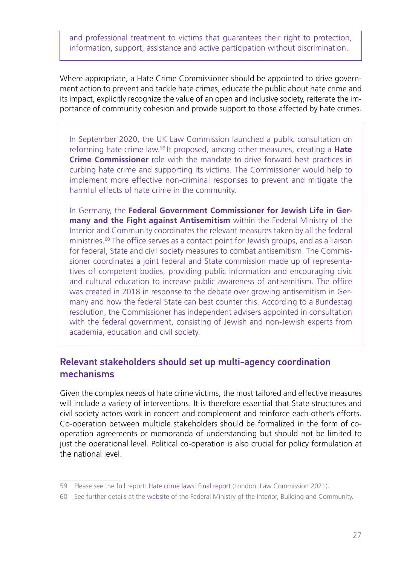<span id="page-26-0"></span>and professional treatment to victims that guarantees their right to protection, information, support, assistance and active participation without discrimination.

Where appropriate, a Hate Crime Commissioner should be appointed to drive government action to prevent and tackle hate crimes, educate the public about hate crime and its impact, explicitly recognize the value of an open and inclusive society, reiterate the importance of community cohesion and provide support to those affected by hate crimes.

In September 2020, the UK Law Commission launched a public consultation on reforming hate crime law.59 It proposed, among other measures, creating a **Hate Crime Commissioner** role with the mandate to drive forward best practices in curbing hate crime and supporting its victims. The Commissioner would help to implement more effective non-criminal responses to prevent and mitigate the harmful effects of hate crime in the community.

In Germany, the **Federal Government Commissioner for Jewish Life in Germany and the Fight against Antisemitism** within the Federal Ministry of the Interior and Community coordinates the relevant measures taken by all the federal ministries.60 The office serves as a contact point for Jewish groups, and as a liaison for federal, State and civil society measures to combat antisemitism. The Commissioner coordinates a joint federal and State commission made up of representatives of competent bodies, providing public information and encouraging civic and cultural education to increase public awareness of antisemitism. The office was created in 2018 in response to the debate over growing antisemitism in Germany and how the federal State can best counter this. According to a Bundestag resolution, the Commissioner has independent advisers appointed in consultation with the federal government, consisting of Jewish and non-Jewish experts from academia, education and civil society.

#### Relevant stakeholders should set up multi-agency coordination mechanisms

Given the complex needs of hate crime victims, the most tailored and effective measures will include a variety of interventions. It is therefore essential that State structures and civil society actors work in concert and complement and reinforce each other's efforts. Co-operation between multiple stakeholders should be formalized in the form of cooperation agreements or memoranda of understanding but should not be limited to just the operational level. Political co-operation is also crucial for policy formulation at the national level.

<sup>59</sup> Please see the full report: [Hate crime laws: Final report](https://s3-eu-west-2.amazonaws.com/lawcom-prod-storage-11jsxou24uy7q/uploads/2021/12/Hate-crime-report-accessible.pdf) (London: Law Commission 2021).

<sup>60</sup> See further details at the [website](https://www.bmi.bund.de/EN/ministry/commissioners/anti-semitism/anti-semitism-artikel.html) of the Federal Ministry of the Interior, Building and Community.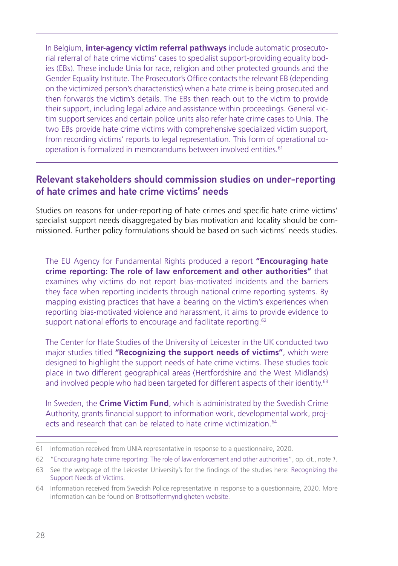<span id="page-27-0"></span>In Belgium, **inter-agency victim referral pathways** include automatic prosecutorial referral of hate crime victims' cases to specialist support-providing equality bodies (EBs). These include Unia for race, religion and other protected grounds and the Gender Equality Institute. The Prosecutor's Office contacts the relevant EB (depending on the victimized person's characteristics) when a hate crime is being prosecuted and then forwards the victim's details. The EBs then reach out to the victim to provide their support, including legal advice and assistance within proceedings. General victim support services and certain police units also refer hate crime cases to Unia. The two EBs provide hate crime victims with comprehensive specialized victim support, from recording victims' reports to legal representation. This form of operational cooperation is formalized in memorandums between involved entities.61

#### Relevant stakeholders should commission studies on under-reporting of hate crimes and hate crime victims' needs

Studies on reasons for under-reporting of hate crimes and specific hate crime victims' specialist support needs disaggregated by bias motivation and locality should be commissioned. Further policy formulations should be based on such victims' needs studies.

The EU Agency for Fundamental Rights produced a report **"Encouraging hate crime reporting: The role of law enforcement and other authorities"** that examines why victims do not report bias-motivated incidents and the barriers they face when reporting incidents through national crime reporting systems. By mapping existing practices that have a bearing on the victim's experiences when reporting bias-motivated violence and harassment, it aims to provide evidence to support national efforts to encourage and facilitate reporting.<sup>62</sup>

The Center for Hate Studies of the University of Leicester in the UK conducted two major studies titled **"Recognizing the support needs of victims"**, which were designed to highlight the support needs of hate crime victims. These studies took place in two different geographical areas (Hertfordshire and the West Midlands) and involved people who had been targeted for different aspects of their identity.<sup>63</sup>

In Sweden, the **Crime Victim Fund**, which is administrated by the Swedish Crime Authority, grants financial support to information work, developmental work, projects and research that can be related to hate crime victimization.<sup>64</sup>

<sup>61</sup> Information received from UNIA representative in response to a questionnaire, 2020.

<sup>62</sup> "[Encouraging hate crime reporting: The role of law enforcement and other authorities](https://fra.europa.eu/en/publication/2021/hate-crime-reporting?pk_campaign=FRA-Alerts-Newsletter&pk_source=newsletter)", op. cit., n*ote 1.*

<sup>63</sup> See the webpage of the Leicester University's for the findings of the studies here: [Recognizing the](https://le.ac.uk/hate-studies/research/recognising-the-support-needs-of-victims)  [Support Needs of Victims.](https://le.ac.uk/hate-studies/research/recognising-the-support-needs-of-victims)

<sup>64</sup> Information received from Swedish Police representative in response to a questionnaire, 2020. More information can be found on [Brottsoffermyndigheten website.](https://www.brottsoffermyndigheten.se/other-languages/english/crime-victim-fund/)